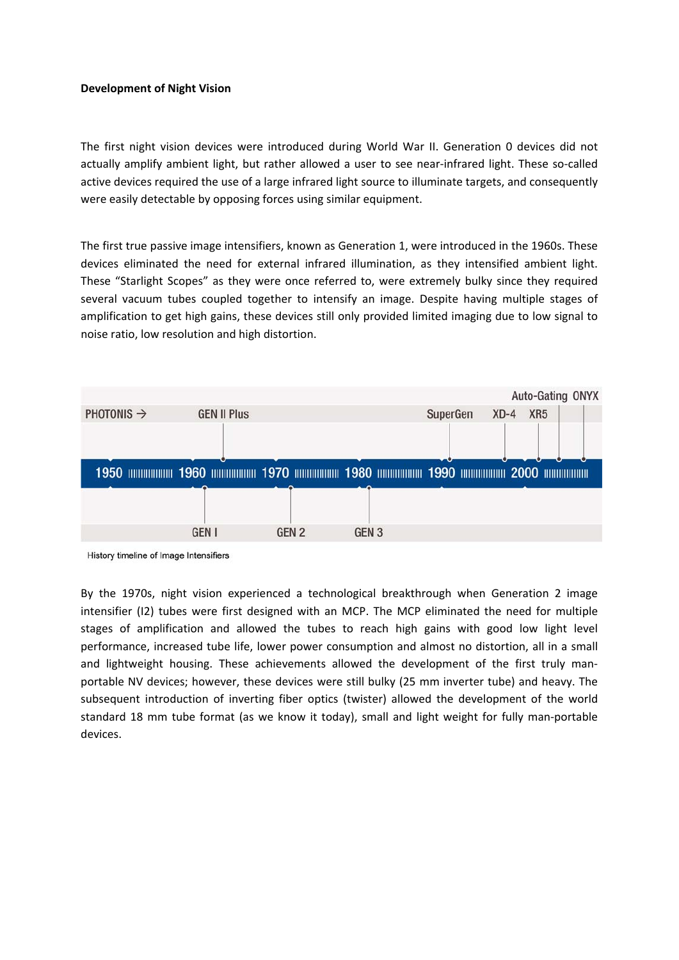## **Development of Night Vision**

The first night vision devices were introduced during World War II. Generation 0 devices did not actually amplify ambient light, but rather allowed a user to see near-infrared light. These so-called active devices required the use of a large infrared light source to illuminate targets, and consequently were easily detectable by opposing forces using similar equipment.

The first true passive image intensifiers, known as Generation 1, were introduced in the 1960s. These devices eliminated the need for external infrared illumination, as they intensified ambient light. These "Starlight Scopes" as they were once referred to, were extremely bulky since they required several vacuum tubes coupled together to intensify an image. Despite having multiple stages of amplification to get high gains, these devices still only provided limited imaging due to low signal to noise ratio, low resolution and high distortion.

|                        |                    |       |                  |          | Auto-Gating ONYX          |  |
|------------------------|--------------------|-------|------------------|----------|---------------------------|--|
| PHOTONIS $\rightarrow$ | <b>GEN II Plus</b> |       |                  | SuperGen | XR <sub>5</sub><br>$XD-4$ |  |
|                        |                    |       |                  |          |                           |  |
|                        |                    |       |                  |          |                           |  |
|                        |                    |       |                  |          |                           |  |
|                        |                    |       |                  |          |                           |  |
|                        |                    |       |                  |          |                           |  |
|                        | <b>GEN I</b>       | GEN 2 | GEN <sub>3</sub> |          |                           |  |
|                        |                    |       |                  |          |                           |  |

History timeline of Image Intensifiers

By the 1970s, night vision experienced a technological breakthrough when Generation 2 image intensifier (I2) tubes were first designed with an MCP. The MCP eliminated the need for multiple stages of amplification and allowed the tubes to reach high gains with good low light level performance, increased tube life, lower power consumption and almost no distortion, all in a small and lightweight housing. These achievements allowed the development of the first truly manportable NV devices; however, these devices were still bulky (25 mm inverter tube) and heavy. The subsequent introduction of inverting fiber optics (twister) allowed the development of the world standard 18 mm tube format (as we know it today), small and light weight for fully man-portable devices.